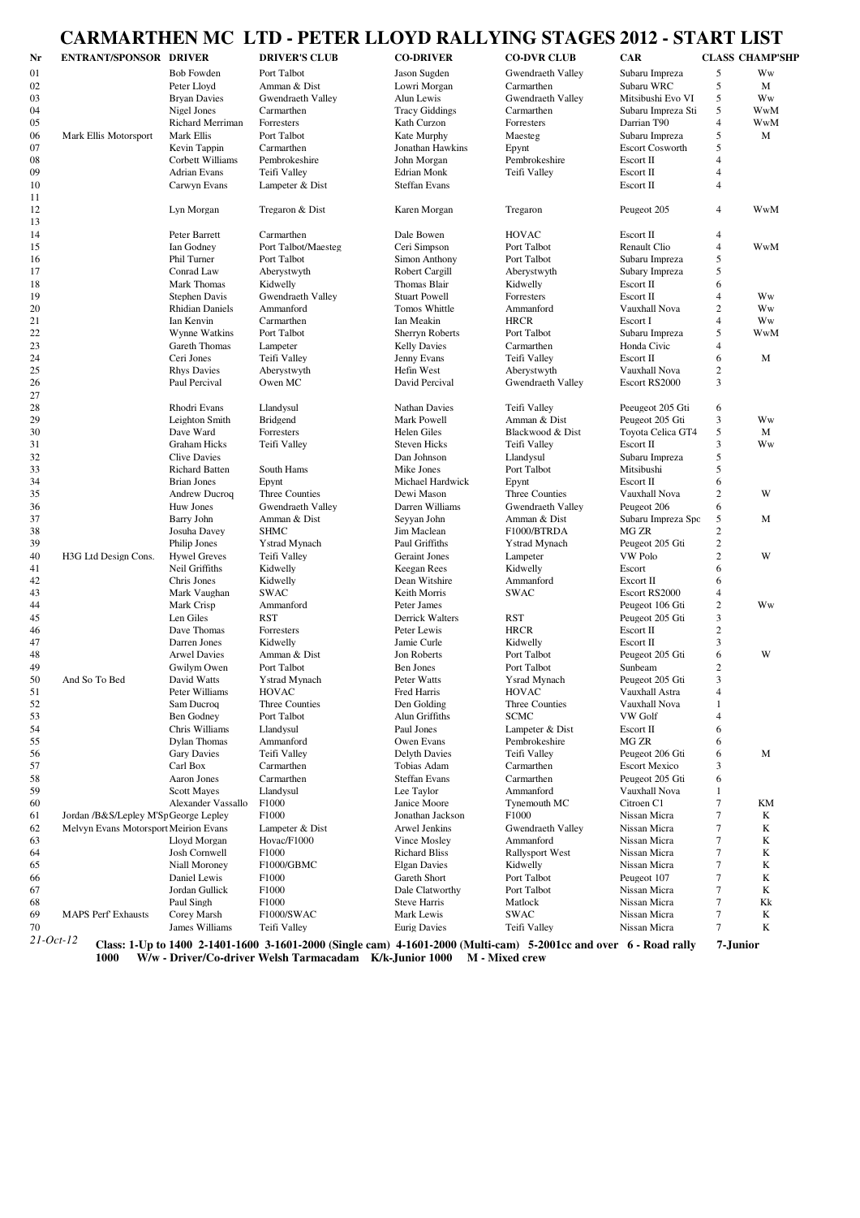# **CARMARTHEN MC LTD - PETER LLOYD RALLYING STAGES 2012 - START LIST**

| Nr        | <b>ENTRANT/SPONSOR DRIVER</b>         |                                    | <b>DRIVER'S CLUB</b>                                                                                              | <b>CO-DRIVER</b>                    | <b>CO-DVR CLUB</b>              | <b>CAR</b>                        |                  | <b>CLASS CHAMP'SHP</b> |
|-----------|---------------------------------------|------------------------------------|-------------------------------------------------------------------------------------------------------------------|-------------------------------------|---------------------------------|-----------------------------------|------------------|------------------------|
|           |                                       |                                    |                                                                                                                   |                                     |                                 |                                   |                  |                        |
| 01        |                                       | <b>Bob Fowden</b>                  | Port Talbot<br>Amman & Dist                                                                                       | Jason Sugden<br>Lowri Morgan        | Gwendraeth Valley<br>Carmarthen | Subaru Impreza                    | 5<br>$\sqrt{5}$  | Ww                     |
| 02        |                                       | Peter Lloyd                        |                                                                                                                   |                                     |                                 | Subaru WRC                        | 5                | M                      |
| 03        |                                       | <b>Bryan Davies</b><br>Nigel Jones | Gwendraeth Valley                                                                                                 | Alun Lewis<br><b>Tracy Giddings</b> | Gwendraeth Valley               | Mitsibushi Evo VI                 | 5                | Ww<br><b>WwM</b>       |
| 04<br>05  |                                       | <b>Richard Merriman</b>            | Carmarthen<br>Forresters                                                                                          | Kath Curzon                         | Carmarthen<br>Forresters        | Subaru Impreza Sti<br>Darrian T90 | $\overline{4}$   | WwM                    |
| 06        |                                       | Mark Ellis                         | Port Talbot                                                                                                       | Kate Murphy                         |                                 | Subaru Impreza                    | 5                | M                      |
| 07        | Mark Ellis Motorsport                 | Kevin Tappin                       | Carmarthen                                                                                                        | Jonathan Hawkins                    | Maesteg                         | <b>Escort Cosworth</b>            | 5                |                        |
| 08        |                                       | Corbett Williams                   | Pembrokeshire                                                                                                     | John Morgan                         | Epynt<br>Pembrokeshire          | Escort II                         | 4                |                        |
| 09        |                                       | Adrian Evans                       | Teifi Valley                                                                                                      |                                     |                                 | Escort II                         | $\overline{4}$   |                        |
| 10        |                                       | Carwyn Evans                       | Lampeter & Dist                                                                                                   | Edrian Monk<br><b>Steffan Evans</b> | Teifi Valley                    | Escort II                         | $\overline{4}$   |                        |
| 11        |                                       |                                    |                                                                                                                   |                                     |                                 |                                   |                  |                        |
| 12        |                                       | Lyn Morgan                         | Tregaron & Dist                                                                                                   | Karen Morgan                        | Tregaron                        | Peugeot 205                       | $\overline{4}$   | WwM                    |
| 13        |                                       |                                    |                                                                                                                   |                                     |                                 |                                   |                  |                        |
| 14        |                                       | Peter Barrett                      | Carmarthen                                                                                                        | Dale Bowen                          | <b>HOVAC</b>                    | Escort II                         | $\overline{4}$   |                        |
| 15        |                                       | Ian Godney                         | Port Talbot/Maesteg                                                                                               | Ceri Simpson                        | Port Talbot                     | Renault Clio                      | $\overline{4}$   | WwM                    |
| 16        |                                       | Phil Turner                        | Port Talbot                                                                                                       | Simon Anthony                       | Port Talbot                     | Subaru Impreza                    | 5                |                        |
| 17        |                                       | Conrad Law                         | Aberystwyth                                                                                                       | Robert Cargill                      | Aberystwyth                     | Subary Impreza                    | 5                |                        |
| 18        |                                       | Mark Thomas                        | Kidwelly                                                                                                          | Thomas Blair                        | Kidwelly                        | Escort II                         | 6                |                        |
| 19        |                                       | <b>Stephen Davis</b>               |                                                                                                                   | <b>Stuart Powell</b>                | Forresters                      | Escort II                         | $\overline{4}$   | Ww                     |
|           |                                       |                                    | Gwendraeth Valley                                                                                                 | Tomos Whittle                       |                                 |                                   | $\mathfrak{2}$   | Ww                     |
| 20        |                                       | <b>Rhidian Daniels</b>             | Ammanford                                                                                                         |                                     | Ammanford                       | Vauxhall Nova                     | $\overline{4}$   | Ww                     |
| 21        |                                       | Ian Kenvin                         | Carmarthen                                                                                                        | Ian Meakin                          | <b>HRCR</b>                     | Escort I                          |                  |                        |
| 22        |                                       | Wynne Watkins                      | Port Talbot                                                                                                       | <b>Sherryn Roberts</b>              | Port Talbot                     | Subaru Impreza                    | 5                | WwM                    |
| 23        |                                       | Gareth Thomas                      | Lampeter                                                                                                          | <b>Kelly Davies</b>                 | Carmarthen                      | Honda Civic                       | $\overline{4}$   |                        |
| 24        |                                       | Ceri Jones                         | Teifi Vallev                                                                                                      | Jenny Evans                         | Teifi Valley                    | Escort II                         | 6                | М                      |
| 25        |                                       | <b>Rhys Davies</b>                 | Aberystwyth                                                                                                       | Hefin West                          | Aberystwyth                     | Vauxhall Nova                     | $\mathfrak{2}$   |                        |
| 26        |                                       | Paul Percival                      | Owen MC                                                                                                           | David Percival                      | Gwendraeth Valley               | Escort RS2000                     | 3                |                        |
| 27        |                                       |                                    |                                                                                                                   |                                     |                                 |                                   |                  |                        |
| 28        |                                       | Rhodri Evans                       | Llandysul                                                                                                         | <b>Nathan Davies</b>                | Teifi Valley                    | Peeugeot 205 Gti                  | 6                |                        |
| 29        |                                       | Leighton Smith                     | <b>Bridgend</b>                                                                                                   | Mark Powell                         | Amman & Dist                    | Peugeot 205 Gti                   | 3                | Ww                     |
| 30        |                                       | Dave Ward                          | Forresters                                                                                                        | Helen Giles                         | Blackwood & Dist                | <b>Tovota Celica GT4</b>          | 5                | M                      |
| 31        |                                       | <b>Graham Hicks</b>                | Teifi Valley                                                                                                      | <b>Steven Hicks</b>                 | Teifi Valley                    | Escort II                         | 3                | Ww                     |
| 32        |                                       | <b>Clive Davies</b>                |                                                                                                                   | Dan Johnson                         | Llandysul                       | Subaru Impreza                    | 5                |                        |
| 33        |                                       | <b>Richard Batten</b>              | South Hams                                                                                                        | Mike Jones                          | Port Talbot                     | Mitsibushi                        | 5                |                        |
| 34        |                                       | <b>Brian Jones</b>                 | Epynt                                                                                                             | Michael Hardwick                    | Epynt                           | Escort II                         | 6                |                        |
| 35        |                                       | <b>Andrew Ducroq</b>               | Three Counties                                                                                                    | Dewi Mason                          | Three Counties                  | Vauxhall Nova                     | $\mathfrak{2}$   | W                      |
| 36        |                                       | Huw Jones                          | Gwendraeth Valley                                                                                                 | Darren Williams                     | Gwendraeth Valley               | Peugeot 206                       | 6                |                        |
| 37        |                                       | Barry John                         | Amman & Dist                                                                                                      | Seyyan John                         | Amman & Dist                    | Subaru Impreza Spc                | 5                | М                      |
| 38        |                                       | Josuha Davey                       | <b>SHMC</b>                                                                                                       | Jim Maclean                         | F1000/BTRDA                     | MG ZR                             | $\mathfrak{2}$   |                        |
| 39        |                                       | Philip Jones                       | <b>Ystrad Mynach</b>                                                                                              | Paul Griffiths                      | <b>Y</b> strad Mynach           | Peugeot 205 Gti                   | $\sqrt{2}$       |                        |
| 40        | H3G Ltd Design Cons.                  | <b>Hywel Greves</b>                | Teifi Valley                                                                                                      | <b>Geraint Jones</b>                | Lampeter                        | VW Polo                           | $\mathbf{2}$     | W                      |
| 41        |                                       | Neil Griffiths                     | Kidwelly                                                                                                          | Keegan Rees                         | Kidwelly                        | Escort                            | 6                |                        |
| 42        |                                       | Chris Jones                        | Kidwelly                                                                                                          | Dean Witshire                       | Ammanford                       | Excort II                         | 6                |                        |
| 43        |                                       | Mark Vaughan                       | <b>SWAC</b>                                                                                                       | Keith Morris                        | <b>SWAC</b>                     | Escort RS2000                     | $\overline{4}$   |                        |
| 44        |                                       | Mark Crisp                         | Ammanford                                                                                                         | Peter James                         |                                 | Peugeot 106 Gti                   | $\overline{c}$   | Ww                     |
| 45        |                                       | Len Giles                          | <b>RST</b>                                                                                                        | Derrick Walters                     | <b>RST</b>                      | Peugeot 205 Gti                   | 3                |                        |
| 46        |                                       | Dave Thomas                        | Forresters                                                                                                        | Peter Lewis                         | <b>HRCR</b>                     | Escort II                         | $\mathbf{2}$     |                        |
| 47        |                                       | Darren Jones                       | Kidwelly                                                                                                          | Jamie Curle                         | Kidwelly                        | Escort II                         | 3                |                        |
| 48        |                                       | <b>Arwel Davies</b>                | Amman & Dist                                                                                                      | Jon Roberts                         | Port Talbot                     | Peugeot 205 Gti                   | 6                | W                      |
| 49        |                                       | Gwilym Owen                        | Port Talbot                                                                                                       | Ben Jones                           | Port Talbot                     | Sunbeam                           | $\boldsymbol{2}$ |                        |
| 50        | And So To Bed                         | David Watts                        | <b>Ystrad Mynach</b>                                                                                              | Peter Watts                         | Ysrad Mynach                    | Peugeot 205 Gti                   | 3                |                        |
| 51        |                                       | Peter Williams                     | HOVAC                                                                                                             | Fred Harris                         | HOVAC                           | Vauxhall Astra                    | 4                |                        |
| 52        |                                       | Sam Ducroq                         | Three Counties                                                                                                    | Den Golding                         | Three Counties                  | Vauxhall Nova                     | 1                |                        |
| 53        |                                       | Ben Godney                         | Port Talbot                                                                                                       | Alun Griffiths                      | <b>SCMC</b>                     | <b>VW Golf</b>                    | 4                |                        |
| 54        |                                       | Chris Williams                     | Llandysul                                                                                                         | Paul Jones                          | Lampeter & Dist                 | Escort II                         | 6                |                        |
| 55        |                                       | Dylan Thomas                       | Ammanford                                                                                                         | Owen Evans                          | Pembrokeshire                   | MG ZR                             | 6                |                        |
| 56        |                                       | <b>Gary Davies</b>                 | Teifi Valley                                                                                                      | <b>Delyth Davies</b>                | Teifi Valley                    | Peugeot 206 Gti                   | 6                | М                      |
| 57        |                                       | Carl Box                           | Carmarthen                                                                                                        | Tobias Adam                         | Carmarthen                      | <b>Escort Mexico</b>              | 3                |                        |
| 58        |                                       | Aaron Jones                        | Carmarthen                                                                                                        | <b>Steffan Evans</b>                | Carmarthen                      | Peugeot 205 Gti                   | 6                |                        |
| 59        |                                       | <b>Scott Mayes</b>                 | Llandysul                                                                                                         | Lee Taylor                          | Ammanford                       | Vauxhall Nova                     | 1                |                        |
| 60        |                                       | Alexander Vassallo                 | F1000                                                                                                             | Janice Moore                        | Tynemouth MC                    | Citroen C1                        | 7                | KΜ                     |
| 61        | Jordan /B&S/Lepley M'Sp George Lepley |                                    | F1000                                                                                                             | Jonathan Jackson                    | F1000                           | Nissan Micra                      | 7                | K                      |
| 62        | Melvyn Evans Motorsport Meirion Evans |                                    | Lampeter & Dist                                                                                                   | Arwel Jenkins                       | Gwendraeth Valley               | Nissan Micra                      | 7                | K                      |
| 63        |                                       | Lloyd Morgan                       | Hovac/F1000                                                                                                       | Vince Mosley                        | Ammanford                       | Nissan Micra                      | 7                | K                      |
| 64        |                                       | Josh Cornwell                      | F1000                                                                                                             | <b>Richard Bliss</b>                | <b>Rallysport West</b>          | Nissan Micra                      | 7                | K                      |
| 65        |                                       | Niall Moroney                      | F1000/GBMC                                                                                                        | <b>Elgan Davies</b>                 | Kidwelly                        | Nissan Micra                      | 7                | K                      |
| 66        |                                       | Daniel Lewis                       | F1000                                                                                                             | Gareth Short                        | Port Talbot                     | Peugeot 107                       | 7                | K                      |
| 67        |                                       | Jordan Gullick                     | F1000                                                                                                             | Dale Clatworthy                     | Port Talbot                     | Nissan Micra                      | 7                | K                      |
| 68        |                                       | Paul Singh                         | F1000                                                                                                             | <b>Steve Harris</b>                 | Matlock                         | Nissan Micra                      | 7                | Kk                     |
| 69        | <b>MAPS Perf Exhausts</b>             | Corey Marsh                        | F1000/SWAC                                                                                                        | Mark Lewis                          | <b>SWAC</b>                     | Nissan Micra                      | $\boldsymbol{7}$ | K                      |
| 70        |                                       | James Williams                     | Teifi Valley                                                                                                      | <b>Eurig Davies</b>                 | Teifi Valley                    | Nissan Micra                      | $\boldsymbol{7}$ | K                      |
|           |                                       |                                    |                                                                                                                   |                                     |                                 |                                   |                  |                        |
| 21-Oct-12 |                                       |                                    | Class: 1-Up to 1400 2-1401-1600 3-1601-2000 (Single cam) 4-1601-2000 (Multi-cam) 5-2001cc and over 6 - Road rally |                                     |                                 |                                   |                  | 7-Junior               |

**1000 W/w - Driver/Co-driver Welsh Tarmacadam K/k-Junior 1000 M - Mixed crew**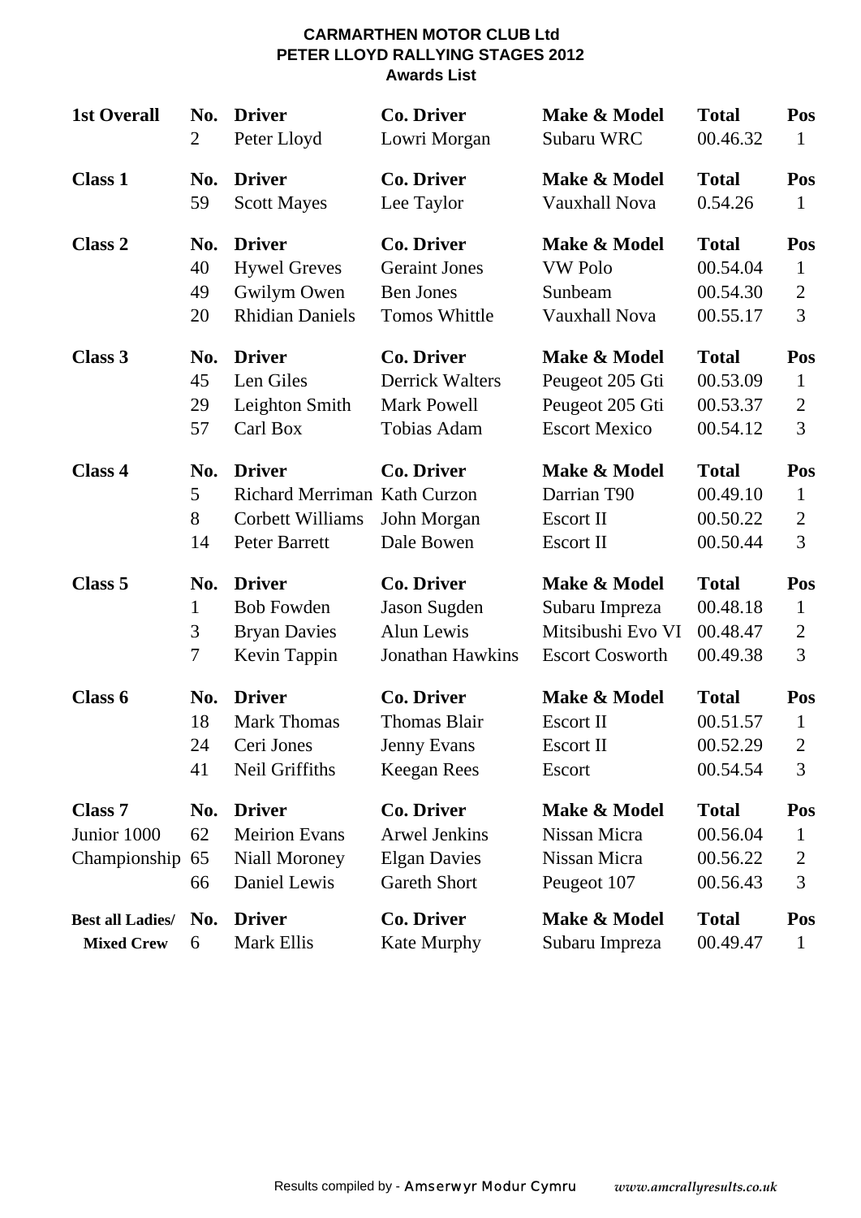#### **CARMARTHEN MOTOR CLUB Ltd PETER LLOYD RALLYING STAGES 2012 Awards List**

| <b>1st Overall</b>                     | No.                   | <b>Driver</b>                                                                             | <b>Co. Driver</b>                                                                       | Make & Model                                                | <b>Total</b>                                     | Pos                                        |
|----------------------------------------|-----------------------|-------------------------------------------------------------------------------------------|-----------------------------------------------------------------------------------------|-------------------------------------------------------------|--------------------------------------------------|--------------------------------------------|
|                                        | $\overline{2}$        | Peter Lloyd                                                                               | Lowri Morgan                                                                            | Subaru WRC                                                  | 00.46.32                                         | 1                                          |
| <b>Class 1</b>                         | No.                   | <b>Driver</b>                                                                             | <b>Co. Driver</b>                                                                       | Make & Model                                                | <b>Total</b>                                     | Pos                                        |
|                                        | 59                    | <b>Scott Mayes</b>                                                                        | Lee Taylor                                                                              | <b>Vauxhall Nova</b>                                        | 0.54.26                                          | $\mathbf{1}$                               |
| <b>Class 2</b>                         | No.                   | <b>Driver</b>                                                                             | <b>Co. Driver</b>                                                                       | Make & Model                                                | <b>Total</b>                                     | Pos                                        |
|                                        | 40                    | <b>Hywel Greves</b>                                                                       | <b>Geraint Jones</b>                                                                    | <b>VW Polo</b>                                              | 00.54.04                                         | $\mathbf{1}$                               |
|                                        | 49                    | Gwilym Owen                                                                               | <b>Ben Jones</b>                                                                        | Sunbeam                                                     | 00.54.30                                         | $\overline{2}$                             |
|                                        | 20                    | <b>Rhidian Daniels</b>                                                                    | <b>Tomos Whittle</b>                                                                    | <b>Vauxhall Nova</b>                                        | 00.55.17                                         | 3                                          |
| Class 3                                | No.                   | <b>Driver</b>                                                                             | <b>Co. Driver</b>                                                                       | Make & Model                                                | <b>Total</b>                                     | Pos                                        |
|                                        | 45                    | Len Giles                                                                                 | <b>Derrick Walters</b>                                                                  | Peugeot 205 Gti                                             | 00.53.09                                         | $\mathbf{1}$                               |
|                                        | 29                    | Leighton Smith                                                                            | <b>Mark Powell</b>                                                                      | Peugeot 205 Gti                                             | 00.53.37                                         | $\overline{2}$                             |
|                                        | 57                    | Carl Box                                                                                  | Tobias Adam                                                                             | <b>Escort Mexico</b>                                        | 00.54.12                                         | 3                                          |
| Class 4                                | No.<br>5<br>8<br>14   | <b>Driver</b><br>Richard Merriman Kath Curzon<br><b>Corbett Williams</b><br>Peter Barrett | <b>Co. Driver</b><br>John Morgan<br>Dale Bowen                                          | Make & Model<br>Darrian T90<br>Escort II<br>Escort II       | <b>Total</b><br>00.49.10<br>00.50.22<br>00.50.44 | Pos<br>$\mathbf{1}$<br>$\overline{2}$<br>3 |
| Class 5                                | No.                   | <b>Driver</b>                                                                             | <b>Co. Driver</b>                                                                       | Make & Model                                                | <b>Total</b>                                     | Pos                                        |
|                                        | 1                     | <b>Bob Fowden</b>                                                                         | Jason Sugden                                                                            | Subaru Impreza                                              | 00.48.18                                         | $\mathbf{1}$                               |
|                                        | 3                     | <b>Bryan Davies</b>                                                                       | Alun Lewis                                                                              | Mitsibushi Evo VI                                           | 00.48.47                                         | $\overline{2}$                             |
|                                        | 7                     | Kevin Tappin                                                                              | <b>Jonathan Hawkins</b>                                                                 | <b>Escort Cosworth</b>                                      | 00.49.38                                         | 3                                          |
| Class 6                                | No.                   | <b>Driver</b>                                                                             | <b>Co. Driver</b>                                                                       | Make & Model                                                | <b>Total</b>                                     | Pos                                        |
|                                        | 18                    | <b>Mark Thomas</b>                                                                        | <b>Thomas Blair</b>                                                                     | <b>Escort II</b>                                            | 00.51.57                                         | $\mathbf{1}$                               |
|                                        | 24                    | Ceri Jones                                                                                | Jenny Evans                                                                             | Escort II                                                   | 00.52.29                                         | $\overline{2}$                             |
|                                        | 41                    | Neil Griffiths                                                                            | Keegan Rees                                                                             | Escort                                                      | 00.54.54                                         | 3                                          |
| Class 7<br>Junior 1000<br>Championship | No.<br>62<br>65<br>66 | <b>Driver</b><br><b>Meirion Evans</b><br>Niall Moroney<br>Daniel Lewis                    | <b>Co. Driver</b><br><b>Arwel Jenkins</b><br><b>Elgan Davies</b><br><b>Gareth Short</b> | Make & Model<br>Nissan Micra<br>Nissan Micra<br>Peugeot 107 | <b>Total</b><br>00.56.04<br>00.56.22<br>00.56.43 | Pos<br>$\mathbf{1}$<br>$\overline{2}$<br>3 |
| <b>Best all Ladies/</b>                | No.                   | <b>Driver</b>                                                                             | <b>Co. Driver</b>                                                                       | Make & Model                                                | <b>Total</b>                                     | Pos                                        |
| <b>Mixed Crew</b>                      | 6                     | Mark Ellis                                                                                | Kate Murphy                                                                             | Subaru Impreza                                              | 00.49.47                                         | $\mathbf{1}$                               |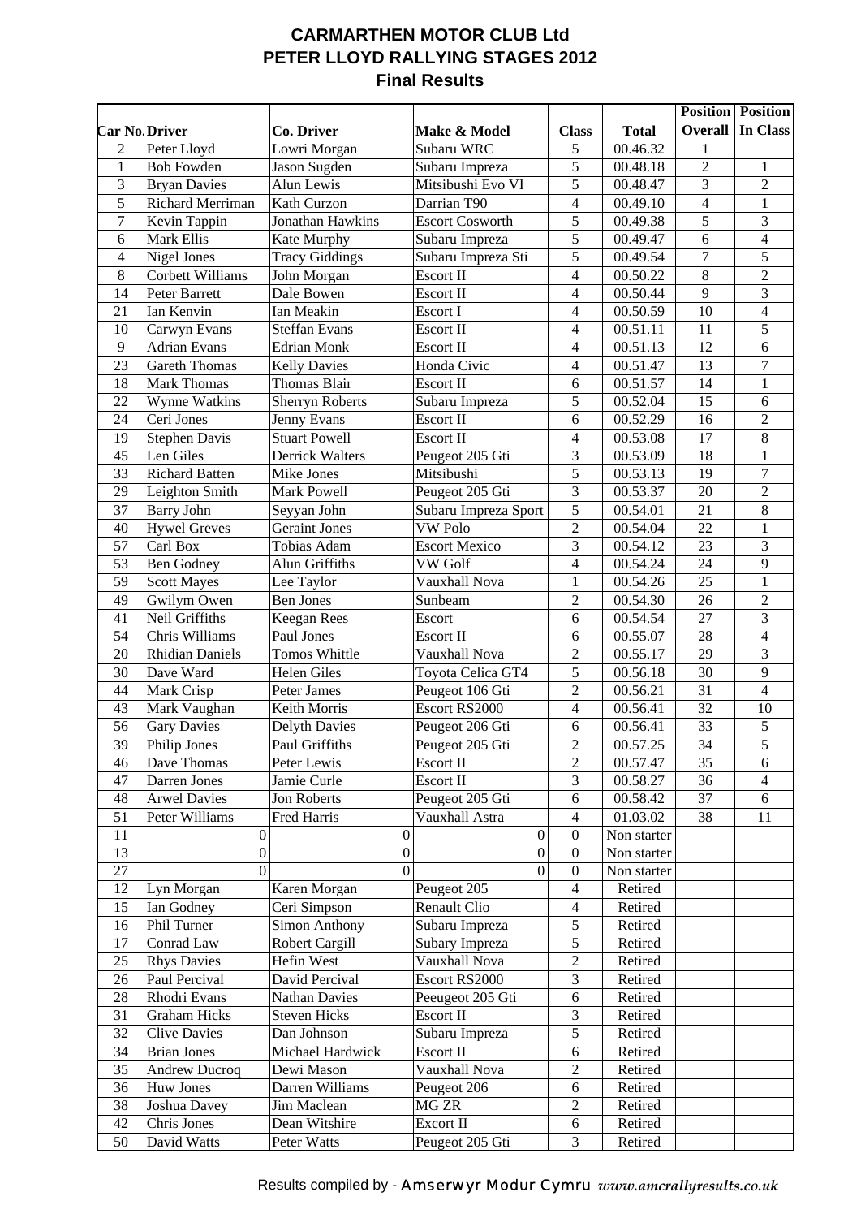## **CARMARTHEN MOTOR CLUB Ltd PETER LLOYD RALLYING STAGES 2012 Final Results**

|                      |                                           |                              |                             |                          |                    |                 | <b>Position Position</b> |
|----------------------|-------------------------------------------|------------------------------|-----------------------------|--------------------------|--------------------|-----------------|--------------------------|
| <b>Car No Driver</b> |                                           | Co. Driver                   | Make & Model                | <b>Class</b>             | <b>Total</b>       | <b>Overall</b>  | In Class                 |
| 2                    | Peter Lloyd                               | Lowri Morgan                 | Subaru WRC                  | 5                        | 00.46.32           | 1               |                          |
| $\mathbf{1}$         | <b>Bob Fowden</b>                         | Jason Sugden                 | Subaru Impreza              | $\overline{5}$           | 00.48.18           | $\overline{2}$  | 1                        |
| 3                    | <b>Bryan Davies</b>                       | Alun Lewis                   | Mitsibushi Evo VI           | 5                        | 00.48.47           | 3               | $\overline{2}$           |
| 5                    | Richard Merriman                          | Kath Curzon                  | Darrian T90                 | $\overline{4}$           | 00.49.10           | $\overline{4}$  | $\mathbf{1}$             |
| $\boldsymbol{7}$     | Kevin Tappin                              | Jonathan Hawkins             | <b>Escort Cosworth</b>      | $\overline{5}$           | 00.49.38           | $\overline{5}$  | 3                        |
| 6                    | Mark Ellis                                | Kate Murphy                  | Subaru Impreza              | 5                        | 00.49.47           | 6               | $\overline{4}$           |
| $\overline{4}$       | Nigel Jones                               | <b>Tracy Giddings</b>        | Subaru Impreza Sti          | $\overline{5}$           | 00.49.54           | $\overline{7}$  | $\overline{5}$           |
| 8                    | Corbett Williams                          | John Morgan                  | Escort II                   | $\overline{4}$           | 00.50.22           | 8               | $\overline{2}$           |
| 14                   | Peter Barrett                             | Dale Bowen                   | Escort II                   | $\overline{4}$           | 00.50.44           | 9               | 3                        |
| 21                   | Ian Kenvin                                | Ian Meakin                   | Escort I                    | $\overline{4}$           | 00.50.59           | 10              | $\overline{4}$           |
| 10                   | Carwyn Evans                              | <b>Steffan Evans</b>         | Escort II                   | $\overline{\mathcal{L}}$ | 00.51.11           | 11              | 5                        |
| 9                    | <b>Adrian Evans</b>                       | <b>Edrian Monk</b>           | Escort II                   | 4                        | 00.51.13           | 12              | 6                        |
| 23                   | <b>Gareth Thomas</b>                      | <b>Kelly Davies</b>          | Honda Civic                 | $\overline{\mathcal{L}}$ | 00.51.47           | 13              | $\boldsymbol{7}$         |
| 18                   | <b>Mark Thomas</b>                        | Thomas Blair                 | Escort II                   | $\overline{6}$           | 00.51.57           | 14              | $\mathbf{1}$             |
| 22                   | Wynne Watkins                             | <b>Sherryn Roberts</b>       | Subaru Impreza              | 5                        | 00.52.04           | 15              | 6                        |
| 24                   | Ceri Jones                                | Jenny Evans                  | Escort II                   | 6                        | 00.52.29           | 16              | $\overline{2}$           |
| 19                   | <b>Stephen Davis</b>                      | <b>Stuart Powell</b>         | Escort II                   | $\overline{4}$           | 00.53.08           | 17              | $\,8\,$                  |
| 45                   | Len Giles                                 | <b>Derrick Walters</b>       | Peugeot 205 Gti             | 3                        | 00.53.09           | 18              | $\mathbf{1}$             |
| 33                   | <b>Richard Batten</b>                     | Mike Jones                   | Mitsibushi                  | 5                        | 00.53.13           | 19              | $\boldsymbol{7}$         |
| 29                   | Leighton Smith                            | Mark Powell                  | Peugeot 205 Gti             | $\overline{3}$           | 00.53.37           | 20              | $\overline{2}$           |
| 37                   | <b>Barry John</b>                         | Seyyan John                  | Subaru Impreza Sport        | 5                        | 00.54.01           | 21              | $\overline{8}$           |
| 40                   | <b>Hywel Greves</b>                       | <b>Geraint Jones</b>         | <b>VW Polo</b>              | $\overline{2}$           | 00.54.04           | 22              | $\mathbf{1}$             |
| 57                   | Carl Box                                  | Tobias Adam                  | <b>Escort Mexico</b>        | $\overline{3}$           | 00.54.12           | 23              | 3                        |
| 53                   | <b>Ben Godney</b>                         | Alun Griffiths               | <b>VW Golf</b>              | $\overline{4}$           | 00.54.24           | 24              | $\overline{9}$           |
| 59                   | <b>Scott Mayes</b>                        | Lee Taylor                   | Vauxhall Nova               | $\mathbf 1$              | 00.54.26           | 25              | $\mathbf{1}$             |
| 49                   | Gwilym Owen                               | <b>Ben Jones</b>             | Sunbeam                     | $\overline{2}$           | 00.54.30           | 26              | $\overline{2}$           |
| 41                   | Neil Griffiths                            | <b>Keegan Rees</b>           | Escort                      | 6                        | 00.54.54           | 27              | 3                        |
| 54                   | Chris Williams                            | Paul Jones                   | Escort II                   | 6                        | 00.55.07           | 28              | $\overline{4}$           |
| 20                   | <b>Rhidian Daniels</b>                    | Tomos Whittle                | Vauxhall Nova               | $\overline{2}$           | 00.55.17           | 29              | 3                        |
| 30                   | Dave Ward                                 | <b>Helen Giles</b>           | Toyota Celica GT4           | 5                        | 00.56.18           | 30              | $\overline{9}$           |
| 44                   | Mark Crisp                                | Peter James                  | Peugeot 106 Gti             | $\overline{2}$           | 00.56.21           | $\overline{31}$ | $\overline{4}$           |
| 43                   | Mark Vaughan                              | Keith Morris                 | Escort RS2000               | $\overline{4}$           | 00.56.41           | 32              | 10                       |
| 56                   | <b>Gary Davies</b>                        | <b>Delyth Davies</b>         | Peugeot 206 Gti             | 6                        | 00.56.41           | $\overline{33}$ | 5                        |
| 39                   | Philip Jones                              | Paul Griffiths               | Peugeot 205 Gti             | $\overline{2}$           | 00.57.25           | $\overline{34}$ | $\overline{5}$           |
| 46                   | Dave Thomas                               | Peter Lewis                  | Escort II                   | $\sqrt{2}$               | 00.57.47           | 35              | 6                        |
| 47                   | Darren Jones                              | Jamie Curle                  | <b>Escort II</b>            | 3                        | 00.58.27           | 36              | $\overline{4}$           |
| 48                   | <b>Arwel Davies</b>                       | Jon Roberts                  | Peugeot 205 Gti             | 6                        | 00.58.42           | 37              | 6                        |
| 51                   | Peter Williams                            | Fred Harris                  | Vauxhall Astra              | $\overline{4}$           | 01.03.02           | 38              | 11                       |
| 11                   | 0                                         | $\boldsymbol{0}$             | $\boldsymbol{0}$            | $\boldsymbol{0}$         | Non starter        |                 |                          |
| 13                   | $\overline{0}$                            | $\overline{0}$               | $\boldsymbol{0}$            | $\boldsymbol{0}$         | Non starter        |                 |                          |
| 27                   | $\theta$                                  | $\theta$                     | $\theta$                    | $\boldsymbol{0}$         | Non starter        |                 |                          |
| 12                   | Lyn Morgan                                | Karen Morgan                 | Peugeot 205                 | 4                        | Retired            |                 |                          |
| 15                   | Ian Godney                                | Ceri Simpson                 | Renault Clio                | $\overline{4}$           | Retired            |                 |                          |
| 16                   | Phil Turner                               | <b>Simon Anthony</b>         | Subaru Impreza              | 5                        | Retired            |                 |                          |
| 17                   | Conrad Law                                | Robert Cargill               | Subary Impreza              | 5                        | Retired            |                 |                          |
| 25                   | <b>Rhys Davies</b>                        | Hefin West                   | Vauxhall Nova               | $\overline{2}$           | Retired            |                 |                          |
| 26                   | Paul Percival                             | David Percival               | Escort RS2000               | 3                        | Retired            |                 |                          |
| 28                   | Rhodri Evans                              | <b>Nathan Davies</b>         | Peeugeot 205 Gti            | $\sqrt{6}$               | Retired            |                 |                          |
| 31                   | <b>Graham Hicks</b>                       | <b>Steven Hicks</b>          | Escort II                   | $\mathfrak{Z}$           | Retired            |                 |                          |
| 32                   |                                           | Dan Johnson                  |                             | 5                        |                    |                 |                          |
| 34                   | <b>Clive Davies</b><br><b>Brian Jones</b> | Michael Hardwick             | Subaru Impreza<br>Escort II | $\sqrt{6}$               | Retired<br>Retired |                 |                          |
| 35                   | <b>Andrew Ducroq</b>                      | Dewi Mason                   | Vauxhall Nova               | $\overline{c}$           | Retired            |                 |                          |
| 36                   | Huw Jones                                 | Darren Williams              | Peugeot 206                 | $\sqrt{6}$               | Retired            |                 |                          |
|                      |                                           |                              | MG ZR                       | $\sqrt{2}$               |                    |                 |                          |
| 38<br>42             | Joshua Davey<br>Chris Jones               | Jim Maclean<br>Dean Witshire | Excort II                   | 6                        | Retired<br>Retired |                 |                          |
| 50                   | David Watts                               | Peter Watts                  | Peugeot 205 Gti             | 3                        | Retired            |                 |                          |
|                      |                                           |                              |                             |                          |                    |                 |                          |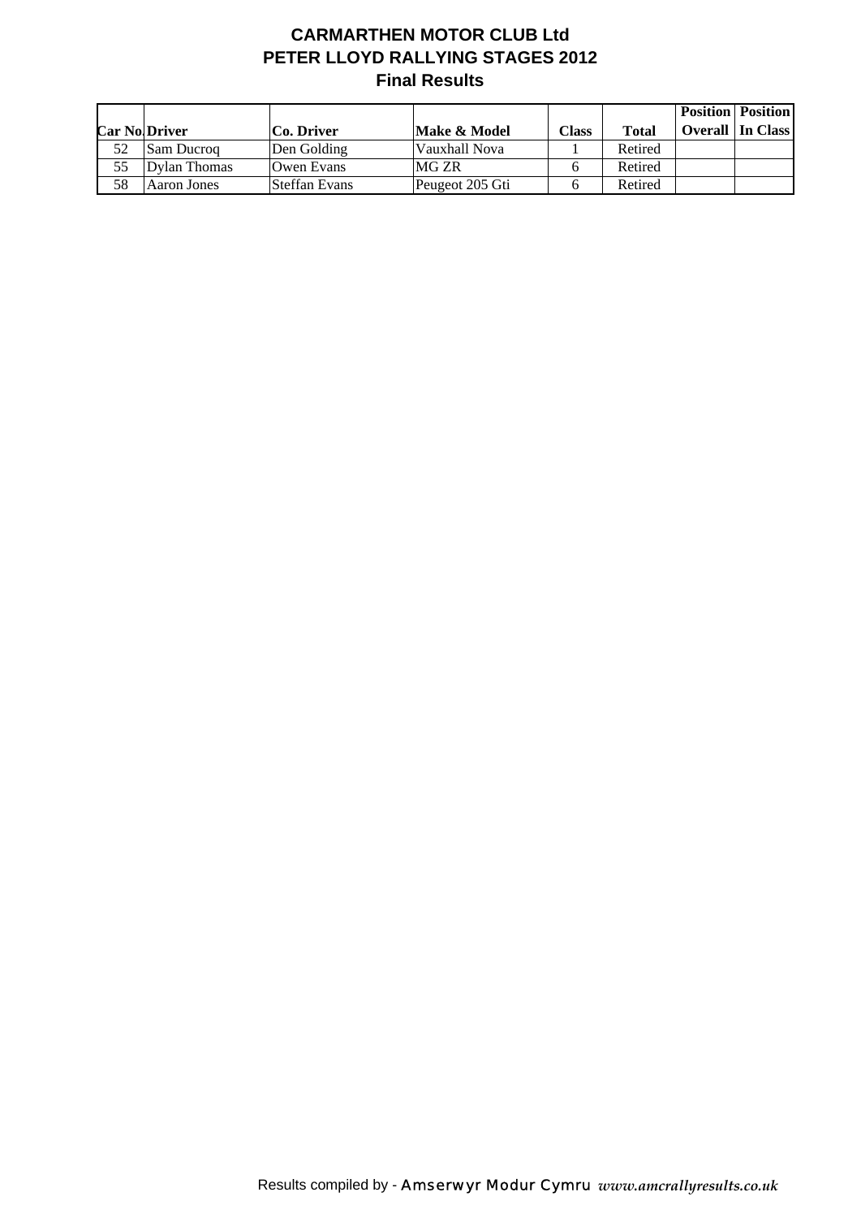# **CARMARTHEN MOTOR CLUB Ltd PETER LLOYD RALLYING STAGES 2012 Final Results**

|    |                      |               |                 |              |         | <b>Position   Position  </b> |
|----|----------------------|---------------|-----------------|--------------|---------|------------------------------|
|    | <b>Car No Driver</b> | Co. Driver    | Make & Model    | <b>Class</b> | Total   | <b>Overall</b> In Class      |
| 52 | <b>Sam Ducrog</b>    | Den Golding   | Vauxhall Nova   |              | Retired |                              |
| 55 | Dylan Thomas         | Owen Evans    | MG ZR           |              | Retired |                              |
| 58 | Aaron Jones          | Steffan Evans | Peugeot 205 Gti |              | Retired |                              |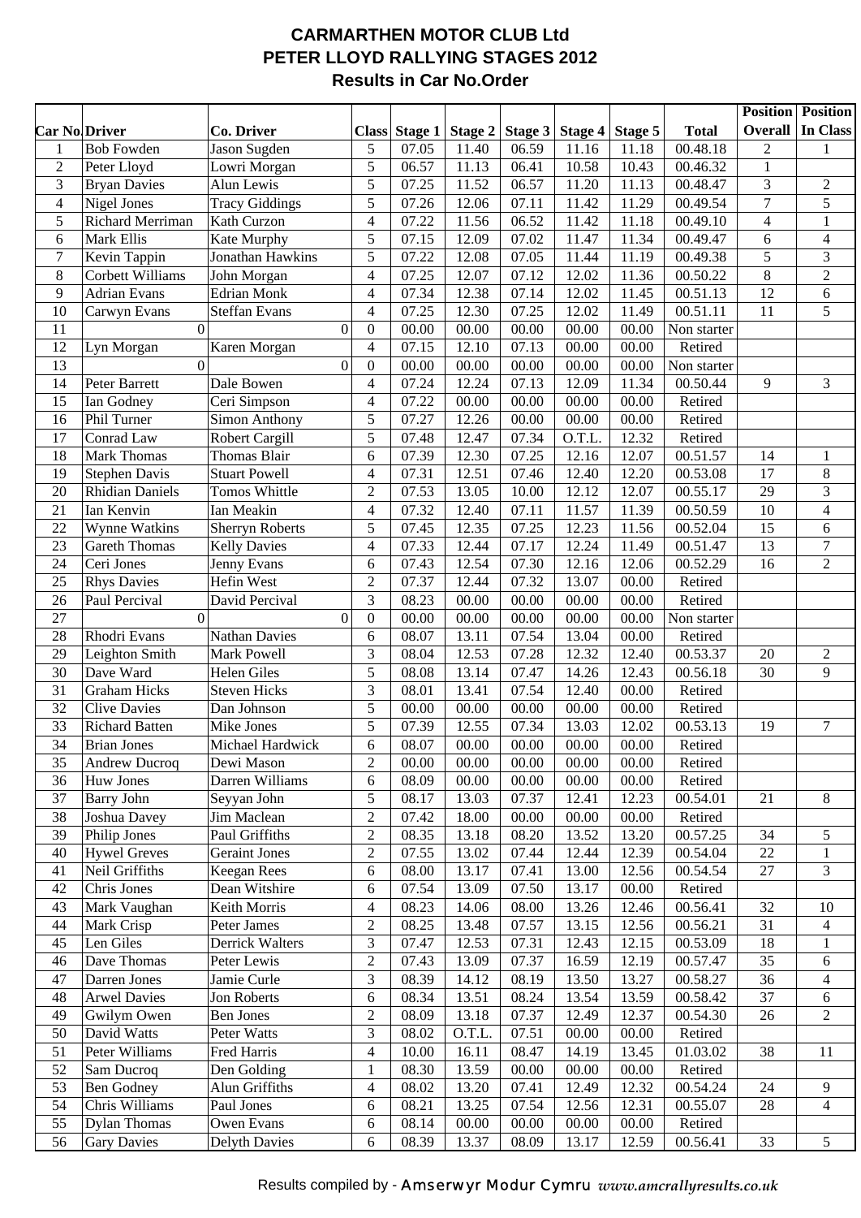#### **CARMARTHEN MOTOR CLUB Ltd PETER LLOYD RALLYING STAGES 2012 Results in Car No.Order**

|                      |                        |                        |                                      |                      |                |                |         |                |                     |                 | <b>Position</b> Position |
|----------------------|------------------------|------------------------|--------------------------------------|----------------------|----------------|----------------|---------|----------------|---------------------|-----------------|--------------------------|
| <b>Car No Driver</b> |                        | Co. Driver             |                                      | <b>Class Stage 1</b> | Stage 2        | Stage 3        | Stage 4 | Stage 5        | <b>Total</b>        | <b>Overall</b>  | In Class                 |
| $\mathbf{1}$         | <b>Bob Fowden</b>      | Jason Sugden           | 5                                    | 07.05                | 11.40          | 06.59          | 11.16   | 11.18          | 00.48.18            | $\overline{2}$  | 1                        |
| $\sqrt{2}$           | Peter Lloyd            | Lowri Morgan           | 5                                    | 06.57                | 11.13          | 06.41          | 10.58   | 10.43          | 00.46.32            | $\mathbf{1}$    |                          |
| 3                    | <b>Bryan Davies</b>    | Alun Lewis             | 5                                    | 07.25                | 11.52          | 06.57          | 11.20   | 11.13          | 00.48.47            | 3               | $\overline{2}$           |
| $\overline{4}$       | Nigel Jones            | <b>Tracy Giddings</b>  | 5                                    | 07.26                | 12.06          | 07.11          | 11.42   | 11.29          | 00.49.54            | $\overline{7}$  | 5                        |
| 5                    | Richard Merriman       | Kath Curzon            | 4                                    | 07.22                | 11.56          | 06.52          | 11.42   | 11.18          | 00.49.10            | $\overline{4}$  | $\mathbf{1}$             |
| 6                    | Mark Ellis             | Kate Murphy            | 5                                    | 07.15                | 12.09          | 07.02          | 11.47   | 11.34          | 00.49.47            | 6               | $\overline{4}$           |
| $\boldsymbol{7}$     | Kevin Tappin           | Jonathan Hawkins       | 5                                    | 07.22                | 12.08          | 07.05          | 11.44   | 11.19          | 00.49.38            | 5               | 3                        |
| $\,8\,$              | Corbett Williams       | John Morgan            | $\overline{4}$                       | 07.25                | 12.07          | 07.12          | 12.02   | 11.36          | 00.50.22            | 8               | $\boldsymbol{2}$         |
| 9                    | <b>Adrian Evans</b>    | <b>Edrian Monk</b>     | $\overline{4}$                       | 07.34                | 12.38          | 07.14          | 12.02   | 11.45          | 00.51.13            | 12              | 6                        |
| 10                   | Carwyn Evans           | Steffan Evans          | $\overline{4}$                       | 07.25                | 12.30          | 07.25          | 12.02   | 11.49          | 00.51.11            | 11              | $\overline{5}$           |
| 11                   | $\overline{0}$         |                        | $\boldsymbol{0}$<br>$\boldsymbol{0}$ | 00.00                | 00.00          | 00.00          | 00.00   | 00.00          | Non starter         |                 |                          |
| 12                   | Lyn Morgan             | Karen Morgan           | $\overline{4}$                       | 07.15                | 12.10          | 07.13          | 00.00   | 00.00          | Retired             |                 |                          |
| 13                   | $\overline{0}$         |                        | $\boldsymbol{0}$<br>$\boldsymbol{0}$ | 00.00                | 00.00          | 00.00          | 00.00   | 00.00          | Non starter         |                 |                          |
| 14                   | Peter Barrett          | Dale Bowen             | $\overline{4}$                       | 07.24                | 12.24          | 07.13          | 12.09   | 11.34          | 00.50.44            | 9               | 3                        |
| 15                   | Ian Godney             | Ceri Simpson           | $\overline{4}$                       | 07.22                | 00.00          | 00.00          | 00.00   | 00.00          | Retired             |                 |                          |
| 16                   | Phil Turner            | Simon Anthony          | 5                                    | 07.27                | 12.26          | 00.00          | 00.00   | 00.00          | Retired             |                 |                          |
| 17                   | Conrad Law             | <b>Robert Cargill</b>  | 5                                    | 07.48                | 12.47          | 07.34          | O.T.L.  | 12.32          | Retired             |                 |                          |
| 18                   | Mark Thomas            | Thomas Blair           | 6                                    | 07.39                | 12.30          | 07.25          | 12.16   | 12.07          | 00.51.57            | 14              | $\mathbf{1}$             |
| 19                   | <b>Stephen Davis</b>   | <b>Stuart Powell</b>   | $\overline{4}$                       | 07.31                | 12.51          | 07.46          | 12.40   | 12.20          | 00.53.08            | 17              | $8\,$                    |
| 20                   | <b>Rhidian Daniels</b> | Tomos Whittle          | $\overline{2}$                       | 07.53                | 13.05          | 10.00          | 12.12   | 12.07          | 00.55.17            | 29              | 3                        |
| 21                   | Ian Kenvin             | Ian Meakin             | $\overline{4}$                       | 07.32                | 12.40          | 07.11          | 11.57   | 11.39          | 00.50.59            | $\overline{10}$ | $\overline{4}$           |
| 22                   | Wynne Watkins          | <b>Sherryn Roberts</b> | 5                                    | 07.45                | 12.35          | 07.25          | 12.23   | 11.56          | 00.52.04            | 15              | $6\,$                    |
| 23                   | <b>Gareth Thomas</b>   | <b>Kelly Davies</b>    | $\overline{4}$                       | 07.33                | 12.44          | 07.17          | 12.24   | 11.49          | 00.51.47            | 13              | $\boldsymbol{7}$         |
| 24                   | Ceri Jones             | Jenny Evans            | 6                                    | 07.43                | 12.54          | 07.30          | 12.16   | 12.06          | 00.52.29            | 16              | $\overline{2}$           |
| 25                   | <b>Rhys Davies</b>     | Hefin West             | $\overline{2}$                       | 07.37                | 12.44          | 07.32          | 13.07   | 00.00          | Retired             |                 |                          |
| 26                   | Paul Percival          | David Percival         | 3                                    | 08.23                | 00.00          | 00.00          | 00.00   | 00.00          | Retired             |                 |                          |
| 27                   | $\overline{0}$         |                        | $\boldsymbol{0}$<br>$\boldsymbol{0}$ | 00.00                | 00.00          | 00.00          | 00.00   | 00.00          | Non starter         |                 |                          |
| 28                   | Rhodri Evans           | <b>Nathan Davies</b>   | 6                                    | 08.07                | 13.11          | 07.54          | 13.04   | 00.00          | Retired             |                 |                          |
| 29                   | Leighton Smith         | <b>Mark Powell</b>     | 3                                    | 08.04                | 12.53          | 07.28          | 12.32   | 12.40          | 00.53.37            | 20              | $\overline{2}$           |
| 30                   | Dave Ward              | Helen Giles            | 5                                    | 08.08                | 13.14          | 07.47          | 14.26   | 12.43          | 00.56.18            | 30              | 9                        |
| 31                   | <b>Graham Hicks</b>    | <b>Steven Hicks</b>    | 3                                    | 08.01                | 13.41          | 07.54          | 12.40   | 00.00          | Retired             |                 |                          |
| 32                   | <b>Clive Davies</b>    | Dan Johnson            | 5                                    |                      |                |                | 00.00   |                |                     |                 |                          |
| 33                   | <b>Richard Batten</b>  | Mike Jones             | 5                                    | 00.00<br>07.39       | 00.00<br>12.55 | 00.00<br>07.34 | 13.03   | 00.00<br>12.02 | Retired<br>00.53.13 | 19              | $\tau$                   |
| 34                   |                        | Michael Hardwick       | 6                                    | 08.07                | 00.00          | 00.00          | 00.00   | 00.00          |                     |                 |                          |
|                      | <b>Brian Jones</b>     |                        |                                      |                      |                |                |         |                | Retired             |                 |                          |
| 35                   | <b>Andrew Ducroq</b>   | Dewi Mason             | $\sqrt{2}$                           | 00.00                | 00.00          | 00.00          | 00.00   | 00.00          | Retired             |                 |                          |
| 36                   | Huw Jones              | Darren Williams        | 6                                    | 08.09                | 00.00          | 00.00          | 00.00   | 00.00          | Retired             |                 |                          |
| 37                   | <b>Barry John</b>      | Seyyan John            | 5                                    | 08.17                | 13.03          | 07.37          | 12.41   | 12.23          | 00.54.01            | 21              | $\,8\,$                  |
| 38                   | Joshua Davey           | Jim Maclean            | $\overline{2}$                       | 07.42                | 18.00          | 00.00          | 00.00   | 00.00          | Retired             |                 |                          |
| 39                   | Philip Jones           | Paul Griffiths         | $\sqrt{2}$                           | 08.35                | 13.18          | 08.20          | 13.52   | 13.20          | 00.57.25            | 34              | 5                        |
| 40                   | <b>Hywel Greves</b>    | <b>Geraint Jones</b>   | $\overline{2}$                       | 07.55                | 13.02          | 07.44          | 12.44   | 12.39          | 00.54.04            | 22              | $\mathbf{1}$             |
| 41                   | Neil Griffiths         | <b>Keegan Rees</b>     | $\epsilon$                           | 08.00                | 13.17          | 07.41          | 13.00   | 12.56          | 00.54.54            | 27              | 3                        |
| 42                   | Chris Jones            | Dean Witshire          | 6                                    | 07.54                | 13.09          | 07.50          | 13.17   | 00.00          | Retired             |                 |                          |
| 43                   | Mark Vaughan           | Keith Morris           | $\overline{\mathcal{L}}$             | 08.23                | 14.06          | 08.00          | 13.26   | 12.46          | 00.56.41            | 32              | 10                       |
| 44                   | Mark Crisp             | Peter James            | $\overline{2}$                       | 08.25                | 13.48          | 07.57          | 13.15   | 12.56          | 00.56.21            | 31              | $\overline{4}$           |
| 45                   | Len Giles              | Derrick Walters        | $\mathfrak{Z}$                       | 07.47                | 12.53          | 07.31          | 12.43   | 12.15          | 00.53.09            | 18              | $\mathbf{1}$             |
| 46                   | Dave Thomas            | Peter Lewis            | $\overline{2}$                       | 07.43                | 13.09          | 07.37          | 16.59   | 12.19          | 00.57.47            | 35              | $\sqrt{6}$               |
| 47                   | Darren Jones           | Jamie Curle            | $\mathfrak{Z}$                       | 08.39                | 14.12          | 08.19          | 13.50   | 13.27          | 00.58.27            | 36              | $\overline{4}$           |
| 48                   | <b>Arwel Davies</b>    | Jon Roberts            | 6                                    | 08.34                | 13.51          | 08.24          | 13.54   | 13.59          | 00.58.42            | 37              | $6\,$                    |
| 49                   | Gwilym Owen            | Ben Jones              | $\overline{2}$                       | 08.09                | 13.18          | 07.37          | 12.49   | 12.37          | 00.54.30            | 26              | $\overline{2}$           |
| 50                   | David Watts            | Peter Watts            | $\mathfrak{Z}$                       | 08.02                | O.T.L.         | 07.51          | 00.00   | 00.00          | Retired             |                 |                          |
| 51                   | Peter Williams         | Fred Harris            | $\overline{\mathcal{L}}$             | 10.00                | 16.11          | 08.47          | 14.19   | 13.45          | 01.03.02            | 38              | 11                       |
| 52                   | Sam Ducroq             | Den Golding            | $\mathbf{1}$                         | 08.30                | 13.59          | 00.00          | 00.00   | 00.00          | Retired             |                 |                          |
| 53                   | <b>Ben Godney</b>      | Alun Griffiths         | 4                                    | 08.02                | 13.20          | 07.41          | 12.49   | 12.32          | 00.54.24            | 24              | $\overline{9}$           |
| 54                   | Chris Williams         | Paul Jones             | 6                                    | 08.21                | 13.25          | 07.54          | 12.56   | 12.31          | 00.55.07            | 28              | $\overline{4}$           |
| 55                   | <b>Dylan Thomas</b>    | Owen Evans             | 6                                    | 08.14                | 00.00          | 00.00          | 00.00   | 00.00          | Retired             |                 |                          |
| 56                   | <b>Gary Davies</b>     | <b>Delyth Davies</b>   | 6                                    | 08.39                | 13.37          | 08.09          | 13.17   | 12.59          | 00.56.41            | 33              | $\sqrt{5}$               |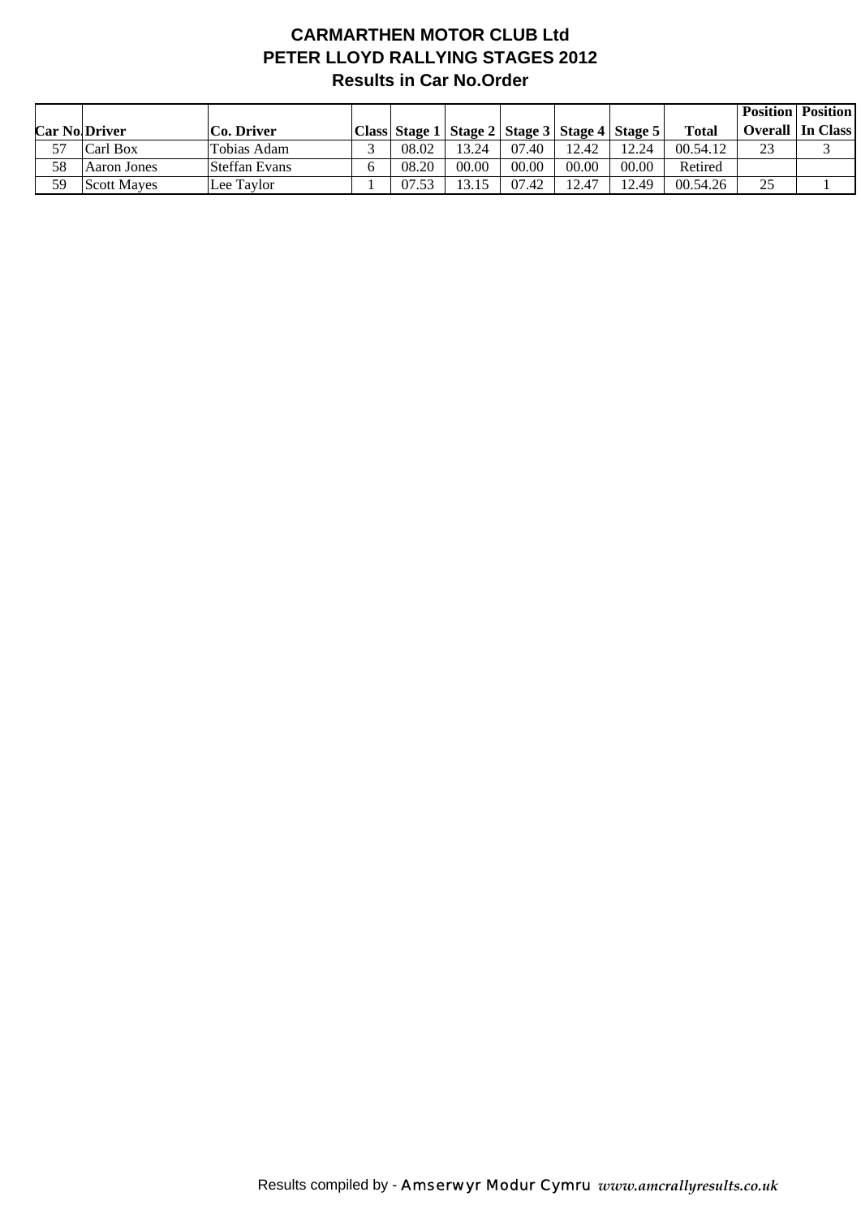## **CARMARTHEN MOTOR CLUB Ltd PETER LLOYD RALLYING STAGES 2012 Results in Car No.Order**

|    |                      |               |       |       |       |       |                                                       |              |                | <b>Position   Position  </b> |
|----|----------------------|---------------|-------|-------|-------|-------|-------------------------------------------------------|--------------|----------------|------------------------------|
|    | <b>Car No Driver</b> | Co. Driver    |       |       |       |       | Class Stage 1   Stage 2   Stage 3   Stage 4   Stage 5 | <b>Total</b> | <b>Overall</b> | In Class                     |
| 57 | Carl Box             | Tobias Adam   | 08.02 | 13.24 | 07.40 | 12.42 | 12.24                                                 | 00.54.12     | 23             |                              |
| 58 | Aaron Jones          | Steffan Evans | 08.20 | 00.00 | 00.00 | 00.00 | 00.00                                                 | Retired      |                |                              |
| 59 | <b>Scott Mayes</b>   | Lee Taylor    | 07.53 | 13.15 | 07.42 | 12.47 | 12.49                                                 | 00.54.26     | 25             |                              |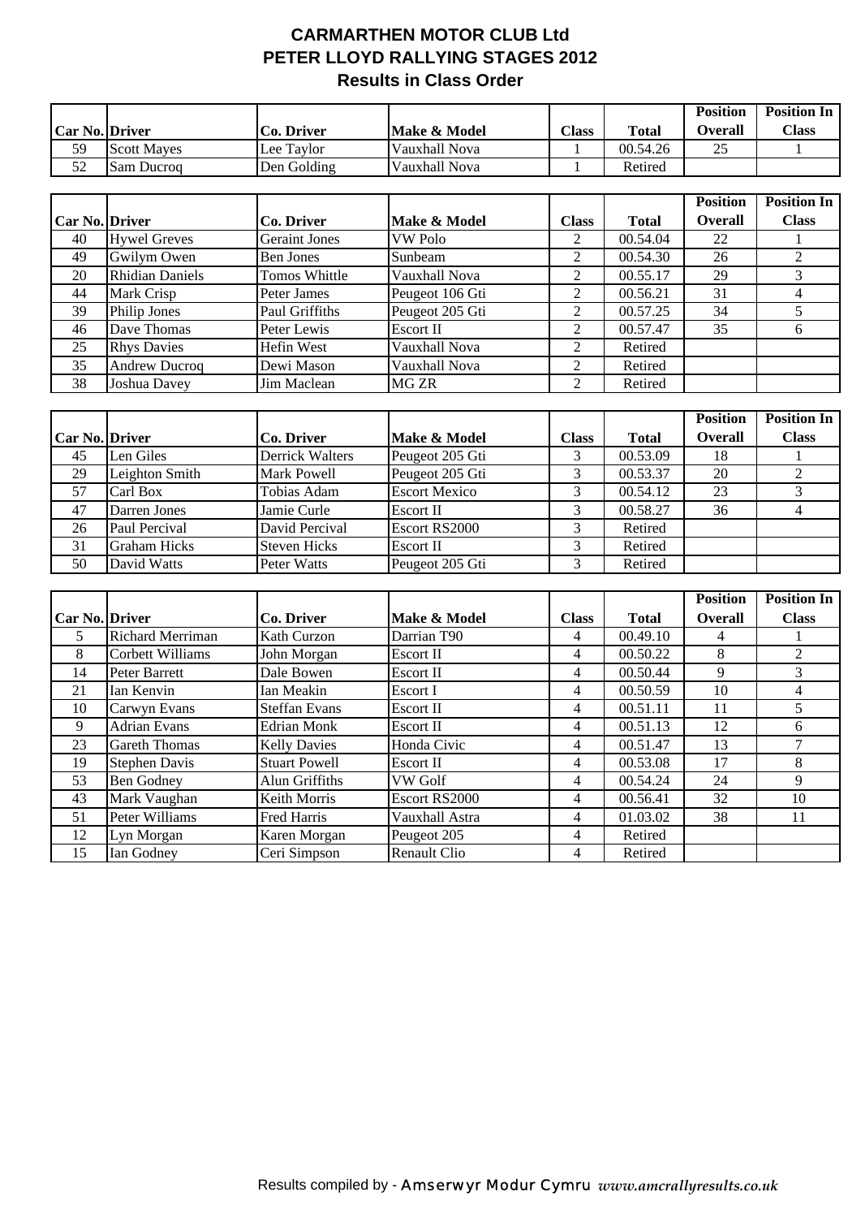## **CARMARTHEN MOTOR CLUB Ltd PETER LLOYD RALLYING STAGES 2012 Results in Class Order**

|                       |                    |                   |               |              |              | <b>Position</b> | <b>Position In</b> |
|-----------------------|--------------------|-------------------|---------------|--------------|--------------|-----------------|--------------------|
| <b>Car No. Driver</b> |                    | <b>Co. Driver</b> | Make & Model  | <b>Class</b> | <b>Total</b> | <b>Overall</b>  | <b>Class</b>       |
| 59                    | <b>Scott Mayes</b> | Lee Taylor        | Vauxhall Nova |              | 00.54.26     | 25              |                    |
| 52                    | <b>Sam Ducrog</b>  | Den Golding       | Vauxhall Nova |              | Retired      |                 |                    |

|                       |                        |                      |                 |                |              | <b>Position</b> | <b>Position In</b> |
|-----------------------|------------------------|----------------------|-----------------|----------------|--------------|-----------------|--------------------|
| <b>Car No. Driver</b> |                        | Co. Driver           | Make & Model    | Class          | <b>Total</b> | <b>Overall</b>  | <b>Class</b>       |
| 40                    | <b>Hywel Greves</b>    | <b>Geraint Jones</b> | <b>VW Polo</b>  | $\overline{2}$ | 00.54.04     | 22              |                    |
| 49                    | Gwilym Owen            | Ben Jones            | Sunbeam         | 2              | 00.54.30     | 26              |                    |
| 20                    | <b>Rhidian Daniels</b> | Tomos Whittle        | Vauxhall Nova   | 2              | 00.55.17     | 29              |                    |
| 44                    | Mark Crisp             | Peter James          | Peugeot 106 Gti | 2              | 00.56.21     | 31              |                    |
| 39                    | <b>Philip Jones</b>    | Paul Griffiths       | Peugeot 205 Gti | 2              | 00.57.25     | 34              |                    |
| 46                    | Dave Thomas            | Peter Lewis          | Escort II       | 2              | 00.57.47     | 35              | n                  |
| 25                    | <b>Rhys Davies</b>     | Hefin West           | Vauxhall Nova   | 2              | Retired      |                 |                    |
| 35                    | <b>Andrew Ducroq</b>   | Dewi Mason           | Vauxhall Nova   | 2              | Retired      |                 |                    |
| 38                    | Joshua Davey           | Jim Maclean          | MG ZR           | 2              | Retired      |                 |                    |

|                       |                     |                     |                      |              |              | <b>Position</b> | <b>Position In</b> |
|-----------------------|---------------------|---------------------|----------------------|--------------|--------------|-----------------|--------------------|
| <b>Car No. Driver</b> |                     | Co. Driver          | Make & Model         | <b>Class</b> | <b>Total</b> | <b>Overall</b>  | <b>Class</b>       |
| 45                    | Len Giles           | Derrick Walters     | Peugeot 205 Gti      |              | 00.53.09     | 18              |                    |
| 29                    | Leighton Smith      | <b>Mark Powell</b>  | Peugeot 205 Gti      |              | 00.53.37     | 20              |                    |
| 57                    | Carl Box            | Tobias Adam         | <b>Escort Mexico</b> |              | 00.54.12     | 23              |                    |
| 47                    | Darren Jones        | Jamie Curle         | <b>Escort II</b>     |              | 00.58.27     | 36              |                    |
| 26                    | Paul Percival       | David Percival      | Escort RS2000        |              | Retired      |                 |                    |
| 31                    | <b>Graham Hicks</b> | <b>Steven Hicks</b> | Escort II            |              | Retired      |                 |                    |
| 50                    | David Watts         | Peter Watts         | Peugeot 205 Gti      |              | Retired      |                 |                    |

|                       |                         |                      |                     |              |              | <b>Position</b> | <b>Position In</b> |
|-----------------------|-------------------------|----------------------|---------------------|--------------|--------------|-----------------|--------------------|
| <b>Car No. Driver</b> |                         | Co. Driver           | Make & Model        | <b>Class</b> | <b>Total</b> | <b>Overall</b>  | <b>Class</b>       |
| 5                     | <b>Richard Merriman</b> | Kath Curzon          | Darrian T90         | 4            | 00.49.10     | 4               |                    |
| 8                     | Corbett Williams        | John Morgan          | Escort II           | 4            | 00.50.22     | 8               |                    |
| 14                    | Peter Barrett           | Dale Bowen           | Escort II           | 4            | 00.50.44     | 9               |                    |
| 21                    | Ian Kenvin              | Ian Meakin           | Escort I            | 4            | 00.50.59     | 10              | 4                  |
| 10                    | Carwyn Evans            | <b>Steffan Evans</b> | Escort II           | 4            | 00.51.11     | 11              |                    |
| 9                     | <b>Adrian Evans</b>     | <b>Edrian Monk</b>   | Escort II           | 4            | 00.51.13     | 12              | 6                  |
| 23                    | <b>Gareth Thomas</b>    | <b>Kelly Davies</b>  | Honda Civic         | 4            | 00.51.47     | 13              |                    |
| 19                    | <b>Stephen Davis</b>    | <b>Stuart Powell</b> | Escort II           | 4            | 00.53.08     | 17              | 8                  |
| 53                    | <b>Ben Godney</b>       | Alun Griffiths       | VW Golf             | 4            | 00.54.24     | 24              | 9                  |
| 43                    | Mark Vaughan            | Keith Morris         | Escort RS2000       | 4            | 00.56.41     | 32              | 10                 |
| 51                    | Peter Williams          | Fred Harris          | Vauxhall Astra      | 4            | 01.03.02     | 38              | 11                 |
| 12                    | Lyn Morgan              | Karen Morgan         | Peugeot 205         | 4            | Retired      |                 |                    |
| 15                    | Ian Godney              | Ceri Simpson         | <b>Renault Clio</b> | 4            | Retired      |                 |                    |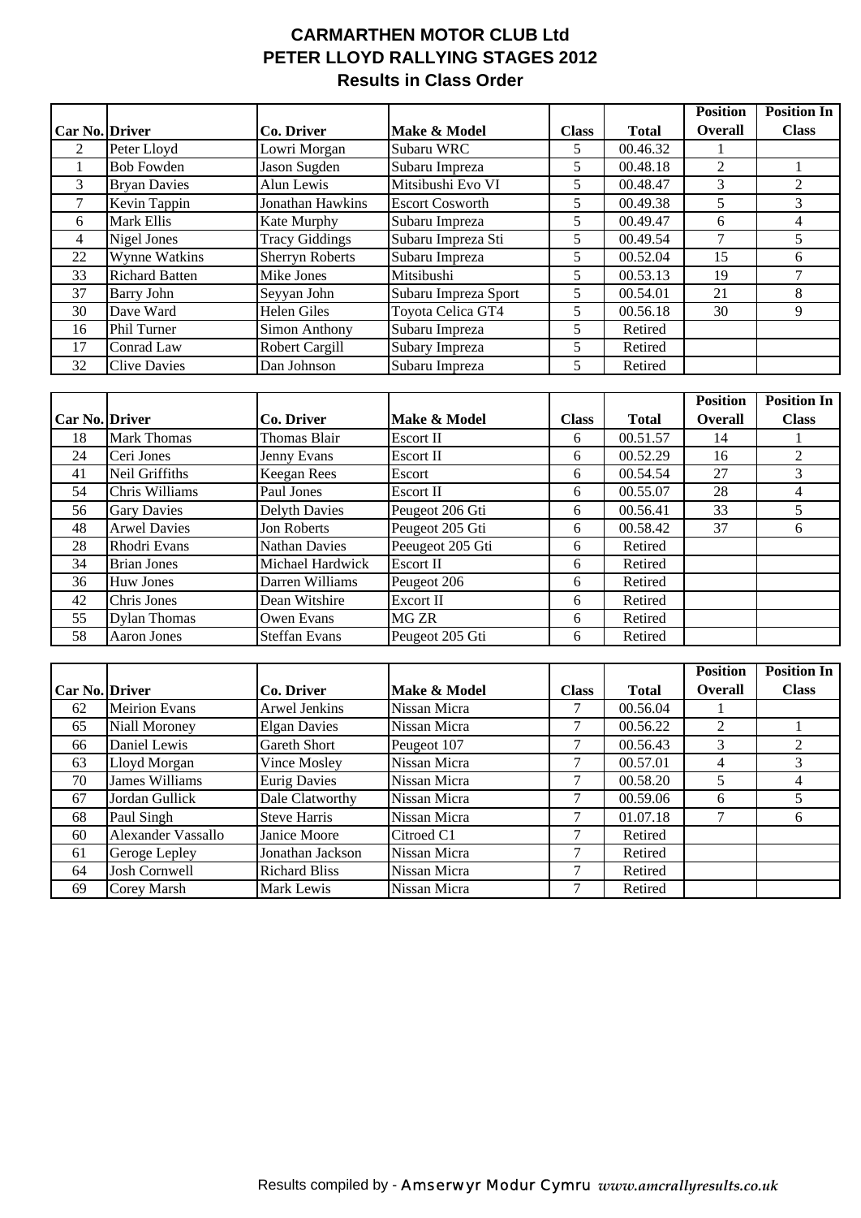## **CARMARTHEN MOTOR CLUB Ltd PETER LLOYD RALLYING STAGES 2012 Results in Class Order**

|                       |                       |                        |                        |              |              | <b>Position</b> | <b>Position In</b> |
|-----------------------|-----------------------|------------------------|------------------------|--------------|--------------|-----------------|--------------------|
| <b>Car No. Driver</b> |                       | Co. Driver             | Make & Model           | <b>Class</b> | <b>Total</b> | <b>Overall</b>  | <b>Class</b>       |
| 2                     | Peter Lloyd           | Lowri Morgan           | Subaru WRC             | 5.           | 00.46.32     |                 |                    |
|                       | <b>Bob Fowden</b>     | Jason Sugden           | Subaru Impreza         | 5.           | 00.48.18     | $\overline{2}$  |                    |
| 3                     | <b>Bryan Davies</b>   | Alun Lewis             | Mitsibushi Evo VI      | 5            | 00.48.47     | 3               |                    |
| 7                     | Kevin Tappin          | Jonathan Hawkins       | <b>Escort Cosworth</b> | 5            | 00.49.38     | 5               | 3                  |
| 6                     | Mark Ellis            | Kate Murphy            | Subaru Impreza         | 5            | 00.49.47     | 6               | 4                  |
| 4                     | Nigel Jones           | <b>Tracy Giddings</b>  | Subaru Impreza Sti     | 5            | 00.49.54     | 7               |                    |
| 22                    | Wynne Watkins         | <b>Sherryn Roberts</b> | Subaru Impreza         | 5            | 00.52.04     | 15              | 6                  |
| 33                    | <b>Richard Batten</b> | Mike Jones             | Mitsibushi             | 5            | 00.53.13     | 19              |                    |
| 37                    | Barry John            | Seyyan John            | Subaru Impreza Sport   | 5            | 00.54.01     | 21              |                    |
| 30                    | Dave Ward             | <b>Helen Giles</b>     | Toyota Celica GT4      | 5            | 00.56.18     | 30              | 9                  |
| 16                    | Phil Turner           | Simon Anthony          | Subaru Impreza         | 5            | Retired      |                 |                    |
| 17                    | Conrad Law            | <b>Robert Cargill</b>  | Subary Impreza         | 5            | Retired      |                 |                    |
| 32                    | <b>Clive Davies</b>   | Dan Johnson            | Subaru Impreza         | 5            | Retired      |                 |                    |

|                       |                     |                      |                  |              |              | <b>Position</b> | <b>Position In</b> |
|-----------------------|---------------------|----------------------|------------------|--------------|--------------|-----------------|--------------------|
| <b>Car No. Driver</b> |                     | Co. Driver           | Make & Model     | <b>Class</b> | <b>Total</b> | <b>Overall</b>  | <b>Class</b>       |
| 18                    | <b>Mark Thomas</b>  | Thomas Blair         | Escort II        | 6            | 00.51.57     | 14              |                    |
| 24                    | Ceri Jones          | Jenny Evans          | Escort II        | 6            | 00.52.29     | 16              |                    |
| 41                    | Neil Griffiths      | Keegan Rees          | Escort           | 6            | 00.54.54     | 27              | 3                  |
| 54                    | Chris Williams      | Paul Jones           | Escort II        | 6            | 00.55.07     | 28              | 4                  |
| 56                    | <b>Gary Davies</b>  | <b>Delyth Davies</b> | Peugeot 206 Gti  | 6            | 00.56.41     | 33              |                    |
| 48                    | <b>Arwel Davies</b> | Jon Roberts          | Peugeot 205 Gti  | 6            | 00.58.42     | 37              | 6                  |
| 28                    | Rhodri Evans        | <b>Nathan Davies</b> | Peeugeot 205 Gti | 6            | Retired      |                 |                    |
| 34                    | <b>Brian Jones</b>  | Michael Hardwick     | Escort II        | 6            | Retired      |                 |                    |
| 36                    | Huw Jones           | Darren Williams      | Peugeot 206      | 6            | Retired      |                 |                    |
| 42                    | Chris Jones         | Dean Witshire        | Excort II        | 6            | Retired      |                 |                    |
| 55                    | <b>Dylan Thomas</b> | Owen Evans           | MG ZR            | 6            | Retired      |                 |                    |
| 58                    | <b>Aaron Jones</b>  | <b>Steffan Evans</b> | Peugeot 205 Gti  | 6            | Retired      |                 |                    |

|                       |                       |                      |              |              |              | <b>Position</b> | <b>Position In</b> |
|-----------------------|-----------------------|----------------------|--------------|--------------|--------------|-----------------|--------------------|
| <b>Car No. Driver</b> |                       | Co. Driver           | Make & Model | <b>Class</b> | <b>Total</b> | <b>Overall</b>  | <b>Class</b>       |
| 62                    | <b>Meirion Evans</b>  | Arwel Jenkins        | Nissan Micra |              | 00.56.04     |                 |                    |
| 65                    | <b>Niall Moroney</b>  | <b>Elgan Davies</b>  | Nissan Micra |              | 00.56.22     | $\overline{2}$  |                    |
| 66                    | Daniel Lewis          | Gareth Short         | Peugeot 107  |              | 00.56.43     | 3               |                    |
| 63                    | Lloyd Morgan          | Vince Mosley         | Nissan Micra |              | 00.57.01     | 4               |                    |
| 70                    | <b>James Williams</b> | <b>Eurig Davies</b>  | Nissan Micra |              | 00.58.20     | 5               |                    |
| 67                    | Jordan Gullick        | Dale Clatworthy      | Nissan Micra |              | 00.59.06     | 6               |                    |
| 68                    | Paul Singh            | <b>Steve Harris</b>  | Nissan Micra |              | 01.07.18     | 7               | 6                  |
| 60                    | Alexander Vassallo    | Janice Moore         | Citroed C1   |              | Retired      |                 |                    |
| 61                    | Geroge Lepley         | Jonathan Jackson     | Nissan Micra |              | Retired      |                 |                    |
| 64                    | Josh Cornwell         | <b>Richard Bliss</b> | Nissan Micra |              | Retired      |                 |                    |
| 69                    | Corey Marsh           | Mark Lewis           | Nissan Micra |              | Retired      |                 |                    |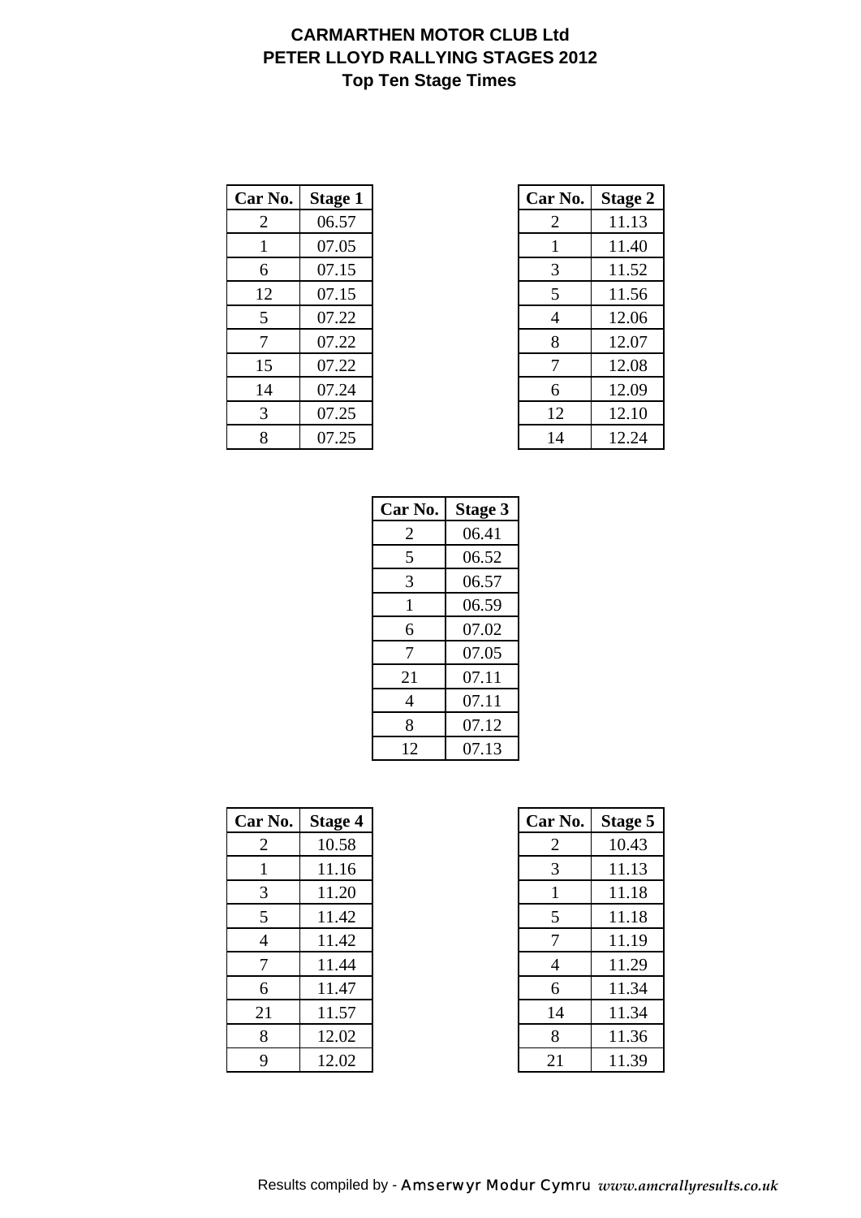# **CARMARTHEN MOTOR CLUB Ltd PETER LLOYD RALLYING STAGES 2012 Top Ten Stage Times**

| Car No.        | <b>Stage 1</b> | Car No. | <b>Stage 2</b> |
|----------------|----------------|---------|----------------|
| $\overline{2}$ | 06.57          | 2       | 11.13          |
|                | 07.05          |         | 11.40          |
| 6              | 07.15          | 3       | 11.52          |
| 12             | 07.15          | 5       | 11.56          |
| 5              | 07.22          | 4       | 12.06          |
| 7              | 07.22          | 8       | 12.07          |
| 15             | 07.22          | 7       | 12.08          |
| 14             | 07.24          | 6       | 12.09          |
| 3              | 07.25          | 12      | 12.10          |
| 8              | 07.25          | 14      | 12.24          |

| r No.          | <b>Stage 1</b> | Car No. | <b>Stage 2</b> |
|----------------|----------------|---------|----------------|
| 2              | 06.57          | 2       | 11.13          |
| $\mathbf{1}$   | 07.05          | 1       | 11.40          |
| 6              | 07.15          | 3       | 11.52          |
| 12             | 07.15          | 5       | 11.56          |
| 5              | 07.22          | 4       | 12.06          |
| $\overline{7}$ | 07.22          | 8       | 12.07          |
| 15             | 07.22          | 7       | 12.08          |
| 14             | 07.24          | 6       | 12.09          |
| 3              | 07.25          | 12      | 12.10          |
| 8              | 07.25          | 14      | 12.24          |

| Car No. | <b>Stage 3</b> |
|---------|----------------|
| 2       | 06.41          |
| 5       | 06.52          |
| 3       | 06.57          |
| 1       | 06.59          |
| 6       | 07.02          |
| 7       | 07.05          |
| 21      | 07.11          |
| 4       | 07.11          |
| 8       | 07.12          |
| 12      | 07.13          |

| Car No. | Stage 4 | Car No. | <b>Stage 5</b> |
|---------|---------|---------|----------------|
| 2       | 10.58   | 2       | 10.43          |
|         | 11.16   | 3       | 11.13          |
| 3       | 11.20   | 1       | 11.18          |
| 5       | 11.42   | 5       | 11.18          |
| 4       | 11.42   | 7       | 11.19          |
| 7       | 11.44   | 4       | 11.29          |
| 6       | 11.47   | 6       | 11.34          |
| 21      | 11.57   | 14      | 11.34          |
| 8       | 12.02   | 8       | 11.36          |
| 9       | 12.02   | 21      | 11.39          |

| r No.          | <b>Stage 4</b> | Car No. | <b>Stage 5</b> |
|----------------|----------------|---------|----------------|
| 2              | 10.58          | 2       | 10.43          |
| -1             | 11.16          | 3       | 11.13          |
| 3              | 11.20          | 1       | 11.18          |
| 5              | 11.42          | 5       | 11.18          |
| $\overline{4}$ | 11.42          | 7       | 11.19          |
| $\overline{7}$ | 11.44          | 4       | 11.29          |
| 6              | 11.47          | 6       | 11.34          |
| 21             | 11.57          | 14      | 11.34          |
| 8              | 12.02          | 8       | 11.36          |
| 9              | 12.02          | 21      | 11.39          |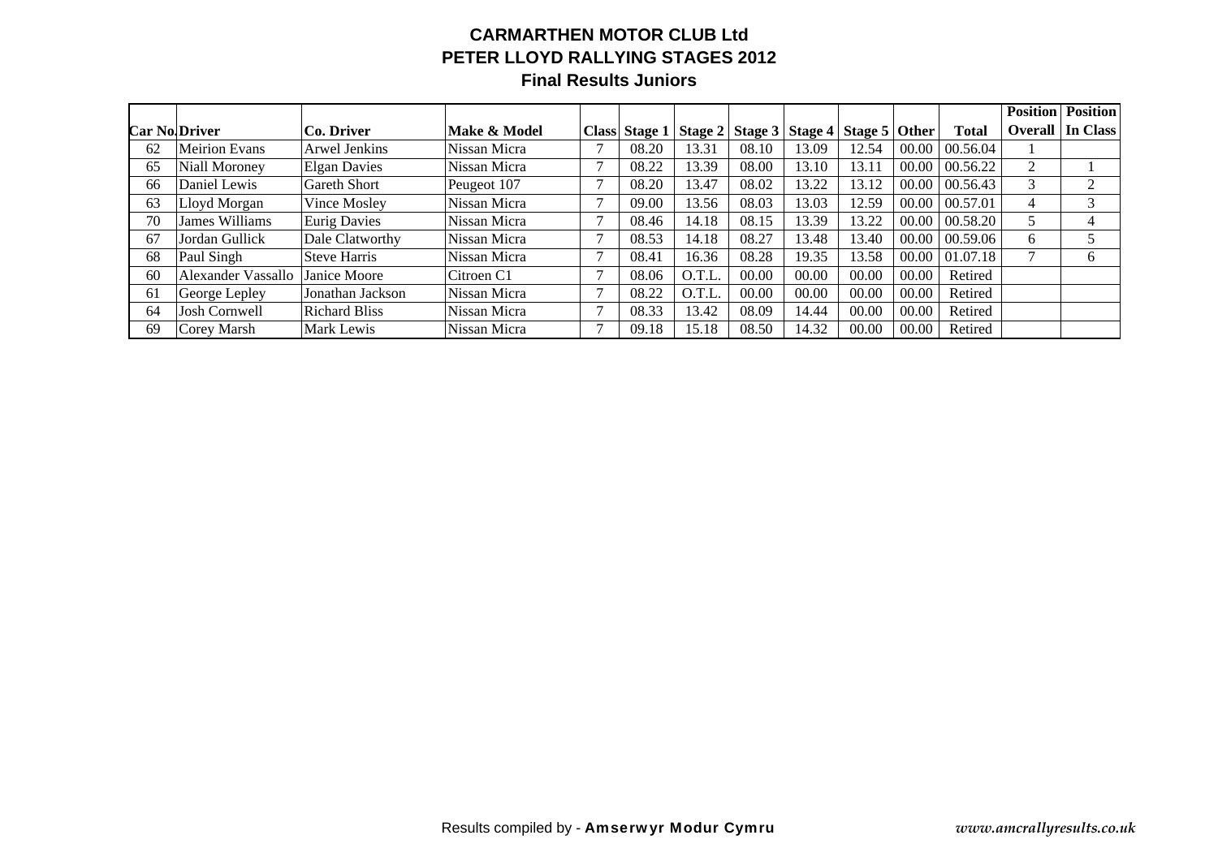#### **CARMARTHEN MOTOR CLUB Ltd PETER LLOYD RALLYING STAGES 2012 Final Results Juniors**

|    |                      |                      |              |   |               |        |       |                                               |       |       |              | <b>Position</b> | <b>Position</b> |
|----|----------------------|----------------------|--------------|---|---------------|--------|-------|-----------------------------------------------|-------|-------|--------------|-----------------|-----------------|
|    | <b>Car No Driver</b> | Co. Driver           | Make & Model |   | Class Stage 1 |        |       | Stage 2   Stage 3   Stage 4   Stage 5   Other |       |       | <b>Total</b> | <b>Overall</b>  | In Class        |
| 62 | <b>Meirion Evans</b> | Arwel Jenkins        | Nissan Micra | − | 08.20         | 13.31  | 08.10 | 13.09                                         | 12.54 | 00.00 | 00.56.04     |                 |                 |
| 65 | Niall Moroney        | <b>Elgan Davies</b>  | Nissan Micra |   | 08.22         | 13.39  | 08.00 | 13.10                                         | 13.11 | 00.00 | 00.56.22     | 2               |                 |
| 66 | Daniel Lewis         | Gareth Short         | Peugeot 107  |   | 08.20         | 13.47  | 08.02 | 13.22                                         | 13.12 | 00.00 | 00.56.43     | 3               | 2               |
| 63 | Lloyd Morgan         | Vince Mosley         | Nissan Micra |   | 09.00         | 13.56  | 08.03 | 13.03                                         | 12.59 | 00.00 | 00.57.01     | 4               | 3               |
| 70 | James Williams       | <b>Eurig Davies</b>  | Nissan Micra |   | 08.46         | 14.18  | 08.15 | 13.39                                         | 13.22 | 00.00 | 00.58.20     | 5               | $\overline{4}$  |
| 67 | Jordan Gullick       | Dale Clatworthy      | Nissan Micra | − | 08.53         | 14.18  | 08.27 | 13.48                                         | 13.40 | 00.00 | 00.59.06     | 6               | 5               |
| 68 | Paul Singh           | <b>Steve Harris</b>  | Nissan Micra |   | 08.41         | 16.36  | 08.28 | 19.35                                         | 13.58 | 00.00 | 01.07.18     | 7               | 6               |
| 60 | Alexander Vassallo   | Janice Moore         | Citroen C1   |   | 08.06         | O.T.L. | 00.00 | 00.00                                         | 00.00 | 00.00 | Retired      |                 |                 |
| 61 | George Lepley        | Jonathan Jackson     | Nissan Micra |   | 08.22         | O.T.L. | 00.00 | 00.00                                         | 00.00 | 00.00 | Retired      |                 |                 |
| 64 | Josh Cornwell        | <b>Richard Bliss</b> | Nissan Micra |   | 08.33         | 13.42  | 08.09 | 14.44                                         | 00.00 | 00.00 | Retired      |                 |                 |
| 69 | Corey Marsh          | Mark Lewis           | Nissan Micra |   | 09.18         | 15.18  | 08.50 | 14.32                                         | 00.00 | 00.00 | Retired      |                 |                 |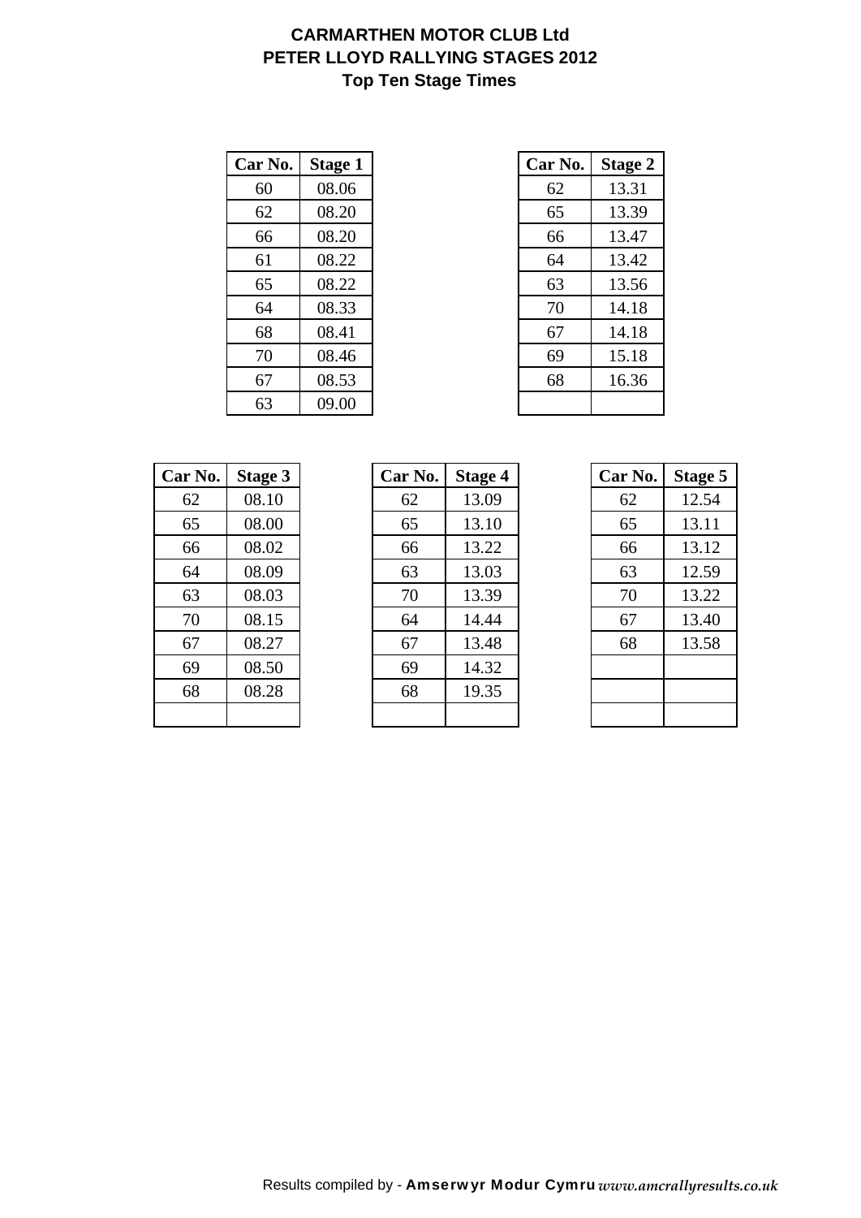# **CARMARTHEN MOTOR CLUB Ltd PETER LLOYD RALLYING STAGES 2012 Top Ten Stage Times**

| Car No. | Stage 1 | Car No. | <b>Stage 2</b> |
|---------|---------|---------|----------------|
| 60      | 08.06   | 62      | 13.31          |
| 62      | 08.20   | 65      | 13.39          |
| 66      | 08.20   | 66      | 13.47          |
| 61      | 08.22   | 64      | 13.42          |
| 65      | 08.22   | 63      | 13.56          |
| 64      | 08.33   | 70      | 14.18          |
| 68      | 08.41   | 67      | 14.18          |
| 70      | 08.46   | 69      | 15.18          |
| 67      | 08.53   | 68      | 16.36          |
| 63      | 09.00   |         |                |

| r No. | <b>Stage 1</b> | Car No. | <b>Stage 2</b> |
|-------|----------------|---------|----------------|
| 60    | 08.06          | 62      | 13.31          |
| 62    | 08.20          | 65      | 13.39          |
| 66    | 08.20          | 66      | 13.47          |
| 61    | 08.22          | 64      | 13.42          |
| 65    | 08.22          | 63      | 13.56          |
| 64    | 08.33          | 70      | 14.18          |
| 68    | 08.41          | 67      | 14.18          |
| 70    | 08.46          | 69      | 15.18          |
| 67    | 08.53          | 68      | 16.36          |
| 63    | 09.00          |         |                |

| Car No. | <b>Stage 3</b> |
|---------|----------------|
| 62      | 08.10          |
| 65      | 08.00          |
| 66      | 08.02          |
| 64      | 08.09          |
| 63      | 08.03          |
| 70      | 08.15          |
| 67      | 08.27          |
| 69      | 08.50          |
| 68      | 08.28          |
|         |                |

| Car No. | Stage 3 | Car No. | <b>Stage 4</b> | Car No. | <b>Stage 5</b> |
|---------|---------|---------|----------------|---------|----------------|
| 62      | 08.10   | 62      | 13.09          | 62      | 12.54          |
| 65      | 08.00   | 65      | 13.10          | 65      | 13.11          |
| 66      | 08.02   | 66      | 13.22          | 66      | 13.12          |
| 64      | 08.09   | 63      | 13.03          | 63      | 12.59          |
| 63      | 08.03   | 70      | 13.39          | 70      | 13.22          |
| 70      | 08.15   | 64      | 14.44          | 67      | 13.40          |
| 67      | 08.27   | 67      | 13.48          | 68      | 13.58          |
| 69      | 08.50   | 69      | 14.32          |         |                |
| 68      | 08.28   | 68      | 19.35          |         |                |
|         |         |         |                |         |                |

| Car No. | Stage 5 |
|---------|---------|
| 62      | 12.54   |
| 65      | 13.11   |
| 66      | 13.12   |
| 63      | 12.59   |
| 70      | 13.22   |
| 67      | 13.40   |
| 68      | 13.58   |
|         |         |
|         |         |
|         |         |